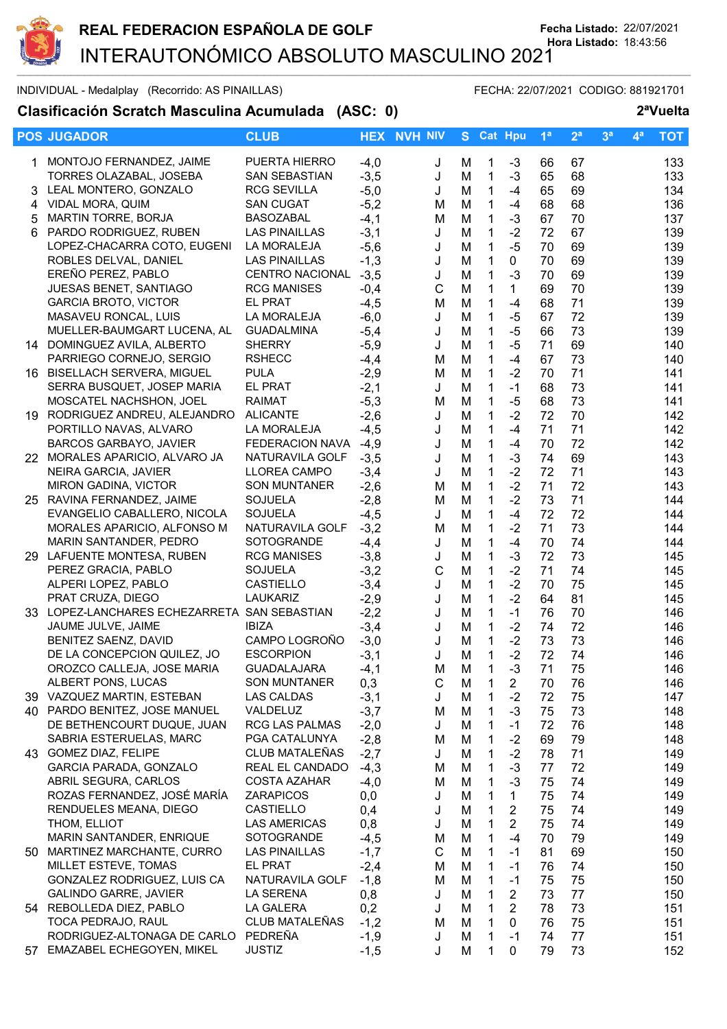

## INDIVIDUAL - Medalplay (Recorrido: AS PINAILLAS) FECHA: 22/07/2021 CODIGO: 881921701

## **Clasificación Scratch Masculina Acumulada (ASC: 0) 2ªVuelta**

|    | <b>POS JUGADOR</b>                                          | <b>CLUB</b>                       | <b>HEX</b>       | <b>NVH NIV</b> | S.     |                            | <b>Cat Hpu</b>                   | 1 <sup>a</sup> | 2 <sup>a</sup> | 3 <sup>a</sup> | $4^a$ | <b>TOT</b> |
|----|-------------------------------------------------------------|-----------------------------------|------------------|----------------|--------|----------------------------|----------------------------------|----------------|----------------|----------------|-------|------------|
| 1. | MONTOJO FERNANDEZ, JAIME                                    | PUERTA HIERRO                     | $-4,0$           | J              | М      | 1                          | $-3$                             | 66             | 67             |                |       | 133        |
|    | TORRES OLAZABAL, JOSEBA                                     | SAN SEBASTIAN                     | $-3,5$           | J              | M      | $\mathbf{1}$               | $-3$                             | 65             | 68             |                |       | 133        |
| 3  | LEAL MONTERO, GONZALO                                       | <b>RCG SEVILLA</b>                | $-5,0$           | J              | M      | $\mathbf{1}$               | $-4$                             | 65             | 69             |                |       | 134        |
| 4  | VIDAL MORA, QUIM                                            | <b>SAN CUGAT</b>                  | $-5,2$           | M              | M      | $\mathbf{1}$               | $-4$                             | 68             | 68             |                |       | 136        |
| 5  | MARTIN TORRE, BORJA                                         | <b>BASOZABAL</b>                  | $-4,1$           | M              | M      | $\mathbf{1}$               | $-3$                             | 67             | 70             |                |       | 137        |
| 6. | PARDO RODRIGUEZ, RUBEN                                      | <b>LAS PINAILLAS</b>              | $-3,1$           | J              | M      | $\mathbf 1$                | $-2$                             | 72             | 67             |                |       | 139        |
|    | LOPEZ-CHACARRA COTO, EUGENI                                 | LA MORALEJA                       | $-5,6$           | J              | M      | $\mathbf{1}$               | $-5$                             | 70             | 69             |                |       | 139        |
|    | ROBLES DELVAL, DANIEL                                       | <b>LAS PINAILLAS</b>              | $-1,3$           | J              | M      | 1                          | $\mathbf{0}$                     | 70             | 69             |                |       | 139        |
|    | EREÑO PEREZ, PABLO                                          | <b>CENTRO NACIONAL</b>            | $-3,5$           | J              | M      | $\mathbf 1$                | $-3$                             | 70             | 69             |                |       | 139        |
|    | <b>JUESAS BENET, SANTIAGO</b>                               | <b>RCG MANISES</b>                | $-0,4$           | $\mathsf{C}$   | M      | 1                          | $\mathbf{1}$                     | 69             | 70             |                |       | 139        |
|    | <b>GARCIA BROTO, VICTOR</b><br>MASAVEU RONCAL, LUIS         | <b>EL PRAT</b><br>LA MORALEJA     | $-4,5$           | M              | M      | $\mathbf 1$                | $-4$                             | 68             | 71<br>72       |                |       | 139        |
|    | MUELLER-BAUMGART LUCENA, AL                                 | <b>GUADALMINA</b>                 | $-6,0$<br>$-5,4$ | J<br>J         | M<br>M | 1<br>$\mathbf 1$           | $-5$<br>$-5$                     | 67<br>66       | 73             |                |       | 139<br>139 |
|    | 14 DOMINGUEZ AVILA, ALBERTO                                 | <b>SHERRY</b>                     | $-5,9$           | J              | M      | $\mathbf 1$                | $-5$                             | 71             | 69             |                |       | 140        |
|    | PARRIEGO CORNEJO, SERGIO                                    | <b>RSHECC</b>                     | $-4,4$           | M              | M      | $\mathbf{1}$               | $-4$                             | 67             | 73             |                |       | 140        |
|    | 16 BISELLACH SERVERA, MIGUEL                                | <b>PULA</b>                       | $-2,9$           | M              | M      | $\mathbf 1$                | $-2$                             | 70             | 71             |                |       | 141        |
|    | SERRA BUSQUET, JOSEP MARIA                                  | <b>EL PRAT</b>                    | $-2,1$           | J              | M      | $\mathbf{1}$               | $-1$                             | 68             | 73             |                |       | 141        |
|    | MOSCATEL NACHSHON, JOEL                                     | <b>RAIMAT</b>                     | $-5,3$           | M              | M      | $\mathbf 1$                | $-5$                             | 68             | 73             |                |       | 141        |
|    | 19 RODRIGUEZ ANDREU, ALEJANDRO                              | <b>ALICANTE</b>                   | $-2,6$           | J              | M      | $\mathbf 1$                | $-2$                             | 72             | 70             |                |       | 142        |
|    | PORTILLO NAVAS, ALVARO                                      | LA MORALEJA                       | $-4,5$           | J              | M      | $\mathbf{1}$               | $-4$                             | 71             | 71             |                |       | 142        |
|    | <b>BARCOS GARBAYO, JAVIER</b>                               | <b>FEDERACION NAVA</b>            | $-4,9$           | J              | M      | $\mathbf{1}$               | $-4$                             | 70             | 72             |                |       | 142        |
|    | 22 MORALES APARICIO, ALVARO JA                              | NATURAVILA GOLF                   | $-3,5$           | J              | M      | 1                          | $-3$                             | 74             | 69             |                |       | 143        |
|    | NEIRA GARCIA, JAVIER                                        | <b>LLOREA CAMPO</b>               | $-3,4$           | J              | M      | 1                          | $-2$                             | 72             | 71             |                |       | 143        |
|    | <b>MIRON GADINA, VICTOR</b>                                 | <b>SON MUNTANER</b>               | $-2,6$           | M              | M      | 1                          | $-2$                             | 71             | 72             |                |       | 143        |
|    | 25 RAVINA FERNANDEZ, JAIME                                  | <b>SOJUELA</b>                    | $-2,8$           | M              | M      | 1                          | $-2$<br>$-4$                     | 73             | 71<br>72       |                |       | 144        |
|    | EVANGELIO CABALLERO, NICOLA<br>MORALES APARICIO, ALFONSO M  | <b>SOJUELA</b><br>NATURAVILA GOLF | $-4,5$<br>$-3,2$ | J<br>M         | M<br>M | $\mathbf 1$<br>$\mathbf 1$ | $-2$                             | 72<br>71       | 73             |                |       | 144<br>144 |
|    | MARIN SANTANDER, PEDRO                                      | SOTOGRANDE                        | $-4,4$           | J              | M      | $\mathbf{1}$               | $-4$                             | 70             | 74             |                |       | 144        |
|    | 29 LAFUENTE MONTESA, RUBEN                                  | <b>RCG MANISES</b>                | $-3,8$           | J              | M      | $\mathbf 1$                | $-3$                             | 72             | 73             |                |       | 145        |
|    | PEREZ GRACIA, PABLO                                         | <b>SOJUELA</b>                    | $-3,2$           | $\mathsf C$    | M      | $\mathbf{1}$               | $-2$                             | 71             | 74             |                |       | 145        |
|    | ALPERI LOPEZ, PABLO                                         | <b>CASTIELLO</b>                  | $-3,4$           | J              | M      | 1                          | $-2$                             | 70             | 75             |                |       | 145        |
|    | PRAT CRUZA, DIEGO                                           | <b>LAUKARIZ</b>                   | $-2,9$           | J              | M      | $\mathbf{1}$               | $-2$                             | 64             | 81             |                |       | 145        |
|    | 33 LOPEZ-LANCHARES ECHEZARRETA SAN SEBASTIAN                |                                   | $-2,2$           | J              | M      | $\mathbf{1}$               | $-1$                             | 76             | 70             |                |       | 146        |
|    | JAUME JULVE, JAIME                                          | <b>IBIZA</b>                      | $-3,4$           | J              | M      | $\mathbf{1}$               | $-2$                             | 74             | 72             |                |       | 146        |
|    | BENITEZ SAENZ, DAVID                                        | CAMPO LOGROÑO                     | $-3,0$           | J              | M      | 1                          | $-2$                             | 73             | 73             |                |       | 146        |
|    | DE LA CONCEPCION QUILEZ, JO                                 | <b>ESCORPION</b>                  | $-3,1$           | J              | M      | 1                          | $-2$                             | 72             | 74             |                |       | 146        |
|    | OROZCO CALLEJA, JOSE MARIA                                  | <b>GUADALAJARA</b>                | -4,1             | M              | M      | 1                          | -3                               | 71             | 75             |                |       | 146        |
|    | ALBERT PONS, LUCAS                                          | <b>SON MUNTANER</b>               | 0,3              | C              | М      | 1                          | $\overline{\mathbf{c}}$          | 70             | 76             |                |       | 146        |
|    | 39 VAZQUEZ MARTIN, ESTEBAN<br>40 PARDO BENITEZ, JOSE MANUEL | <b>LAS CALDAS</b><br>VALDELUZ     | $-3,1$<br>$-3,7$ | J              | M      | 1<br>1                     | $-2$<br>$-3$                     | 72<br>75       | 75<br>73       |                |       | 147<br>148 |
|    | DE BETHENCOURT DUQUE, JUAN                                  | RCG LAS PALMAS                    | $-2,0$           | M<br>J         | M<br>M | 1                          | $-1$                             | 72             | 76             |                |       | 148        |
|    | SABRIA ESTERUELAS, MARC                                     | PGA CATALUNYA                     | $-2,8$           | M              | M      | 1                          | $-2$                             | 69             | 79             |                |       | 148        |
|    | 43 GOMEZ DIAZ, FELIPE                                       | CLUB MATALEÑAS                    | $-2,7$           | J              | M      | $\mathbf{1}$               | $-2$                             | 78             | 71             |                |       | 149        |
|    | GARCIA PARADA, GONZALO                                      | REAL EL CANDADO                   | $-4,3$           | M              | M      | 1                          | $-3$                             | 77             | 72             |                |       | 149        |
|    | ABRIL SEGURA, CARLOS                                        | COSTA AZAHAR                      | $-4,0$           | M              | M      | 1                          | $-3$                             | 75             | 74             |                |       | 149        |
|    | ROZAS FERNANDEZ, JOSÉ MARÍA                                 | <b>ZARAPICOS</b>                  | 0,0              | J              | M      | 1                          | 1                                | 75             | 74             |                |       | 149        |
|    | RENDUELES MEANA, DIEGO                                      | <b>CASTIELLO</b>                  | 0,4              | J              | M      | 1                          | $\overline{2}$                   | 75             | 74             |                |       | 149        |
|    | THOM, ELLIOT                                                | LAS AMERICAS                      | 0,8              | J              | М      | 1                          | $\overline{2}$                   | 75             | 74             |                |       | 149        |
|    | MARIN SANTANDER, ENRIQUE                                    | SOTOGRANDE                        | $-4,5$           | M              | M      | 1                          | $-4$                             | 70             | 79             |                |       | 149        |
|    | 50 MARTINEZ MARCHANTE, CURRO                                | <b>LAS PINAILLAS</b>              | $-1,7$           | C              | M      | 1                          | $-1$                             | 81             | 69             |                |       | 150        |
|    | MILLET ESTEVE, TOMAS                                        | EL PRAT                           | $-2,4$           | M              | M      | 1                          | $-1$                             | 76             | 74             |                |       | 150        |
|    | GONZALEZ RODRIGUEZ, LUIS CA                                 | NATURAVILA GOLF                   | $-1,8$           | M              | M      | 1                          | $-1$                             | 75             | 75             |                |       | 150        |
|    | <b>GALINDO GARRE, JAVIER</b><br>54 REBOLLEDA DIEZ, PABLO    | LA SERENA<br>LA GALERA            | 0,8<br>0,2       | J<br>J         | M      | 1<br>$\mathbf{1}$          | $\overline{2}$<br>$\overline{2}$ | 73<br>78       | 77<br>73       |                |       | 150<br>151 |
|    | TOCA PEDRAJO, RAUL                                          | CLUB MATALEÑAS                    | $-1,2$           | M              | M<br>M | $\mathbf 1$                | 0                                | 76             | 75             |                |       | 151        |
|    | RODRIGUEZ-ALTONAGA DE CARLO                                 | PEDREÑA                           | $-1,9$           | J              | M      | $\mathbf 1$                | $-1$                             | 74             | 77             |                |       | 151        |
|    | 57 EMAZABEL ECHEGOYEN, MIKEL                                | <b>JUSTIZ</b>                     | $-1,5$           | J              | М      | 1                          | 0                                | 79             | 73             |                |       | 152        |